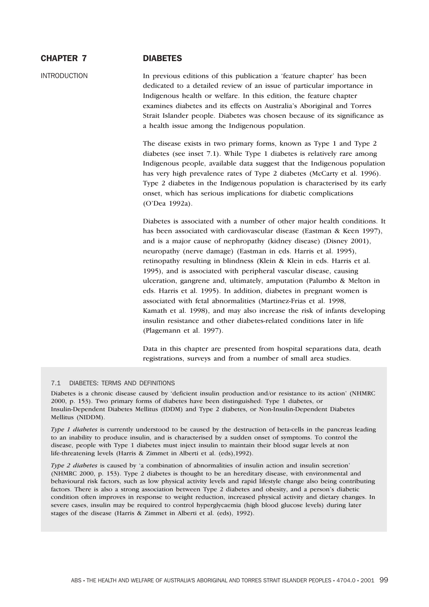# CHAPTER 7 DIABETES

INTRODUCTION In previous editions of this publication a 'feature chapter' has been dedicated to a detailed review of an issue of particular importance in Indigenous health or welfare. In this edition, the feature chapter examines diabetes and its effects on Australia's Aboriginal and Torres Strait Islander people. Diabetes was chosen because of its significance as a health issue among the Indigenous population.

> The disease exists in two primary forms, known as Type 1 and Type 2 diabetes (see inset 7.1). While Type 1 diabetes is relatively rare among Indigenous people, available data suggest that the Indigenous population has very high prevalence rates of Type 2 diabetes (McCarty et al. 1996). Type 2 diabetes in the Indigenous population is characterised by its early onset, which has serious implications for diabetic complications (O'Dea 1992a).

> Diabetes is associated with a number of other major health conditions. It has been associated with cardiovascular disease (Eastman & Keen 1997), and is a major cause of nephropathy (kidney disease) (Disney 2001), neuropathy (nerve damage) (Eastman in eds. Harris et al. 1995), retinopathy resulting in blindness (Klein & Klein in eds. Harris et al. 1995), and is associated with peripheral vascular disease, causing ulceration, gangrene and, ultimately, amputation (Palumbo & Melton in eds. Harris et al. 1995). In addition, diabetes in pregnant women is associated with fetal abnormalities (Martinez-Frias et al. 1998, Kamath et al. 1998), and may also increase the risk of infants developing insulin resistance and other diabetes-related conditions later in life (Plagemann et al. 1997).

Data in this chapter are presented from hospital separations data, death registrations, surveys and from a number of small area studies.

### 7.1 DIABETES: TERMS AND DEFINITIONS

Diabetes is a chronic disease caused by 'deficient insulin production and/or resistance to its action' (NHMRC 2000, p. 153). Two primary forms of diabetes have been distinguished: Type 1 diabetes, or Insulin-Dependent Diabetes Mellitus (IDDM) and Type 2 diabetes, or Non-Insulin-Dependent Diabetes Mellitus (NIDDM).

*Type 1 diabetes* is currently understood to be caused by the destruction of beta-cells in the pancreas leading to an inability to produce insulin, and is characterised by a sudden onset of symptoms. To control the disease, people with Type 1 diabetes must inject insulin to maintain their blood sugar levels at non life-threatening levels (Harris & Zimmet in Alberti et al. (eds),1992).

*Type 2 diabetes* is caused by 'a combination of abnormalities of insulin action and insulin secretion' (NHMRC 2000, p. 153). Type 2 diabetes is thought to be an hereditary disease, with environmental and behavioural risk factors, such as low physical activity levels and rapid lifestyle change also being contributing factors. There is also a strong association between Type 2 diabetes and obesity, and a person's diabetic condition often improves in response to weight reduction, increased physical activity and dietary changes. In severe cases, insulin may be required to control hyperglycaemia (high blood glucose levels) during later stages of the disease (Harris & Zimmet in Alberti et al. (eds), 1992).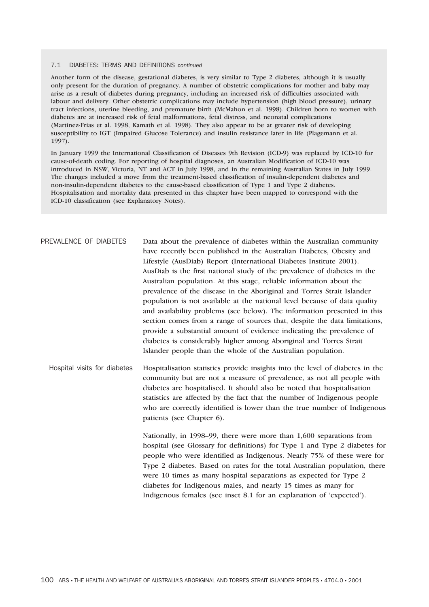#### 7.1 DIABETES: TERMS AND DEFINITIONS *continued*

Another form of the disease, gestational diabetes, is very similar to Type 2 diabetes, although it is usually only present for the duration of pregnancy. A number of obstetric complications for mother and baby may arise as a result of diabetes during pregnancy, including an increased risk of difficulties associated with labour and delivery. Other obstetric complications may include hypertension (high blood pressure), urinary tract infections, uterine bleeding, and premature birth (McMahon et al. 1998). Children born to women with diabetes are at increased risk of fetal malformations, fetal distress, and neonatal complications (Martinez-Frias et al. 1998, Kamath et al. 1998). They also appear to be at greater risk of developing susceptibility to IGT (Impaired Glucose Tolerance) and insulin resistance later in life (Plagemann et al. 1997).

In January 1999 the International Classification of Diseases 9th Revision (ICD-9) was replaced by ICD-10 for cause-of-death coding. For reporting of hospital diagnoses, an Australian Modification of ICD-10 was introduced in NSW, Victoria, NT and ACT in July 1998, and in the remaining Australian States in July 1999. The changes included a move from the treatment-based classification of insulin-dependent diabetes and non-insulin-dependent diabetes to the cause-based classification of Type 1 and Type 2 diabetes. Hospitalisation and mortality data presented in this chapter have been mapped to correspond with the ICD-10 classification (see Explanatory Notes).

| PREVALENCE OF DIABETES       | Data about the prevalence of diabetes within the Australian community<br>have recently been published in the Australian Diabetes, Obesity and<br>Lifestyle (AusDiab) Report (International Diabetes Institute 2001).<br>AusDiab is the first national study of the prevalence of diabetes in the<br>Australian population. At this stage, reliable information about the<br>prevalence of the disease in the Aboriginal and Torres Strait Islander<br>population is not available at the national level because of data quality<br>and availability problems (see below). The information presented in this<br>section comes from a range of sources that, despite the data limitations,<br>provide a substantial amount of evidence indicating the prevalence of<br>diabetes is considerably higher among Aboriginal and Torres Strait<br>Islander people than the whole of the Australian population. |
|------------------------------|---------------------------------------------------------------------------------------------------------------------------------------------------------------------------------------------------------------------------------------------------------------------------------------------------------------------------------------------------------------------------------------------------------------------------------------------------------------------------------------------------------------------------------------------------------------------------------------------------------------------------------------------------------------------------------------------------------------------------------------------------------------------------------------------------------------------------------------------------------------------------------------------------------|
| Hospital visits for diabetes | Hospitalisation statistics provide insights into the level of diabetes in the<br>community but are not a measure of prevalence, as not all people with<br>diabetes are hospitalised. It should also be noted that hospitalisation<br>statistics are affected by the fact that the number of Indigenous people<br>who are correctly identified is lower than the true number of Indigenous<br>patients (see Chapter 6).                                                                                                                                                                                                                                                                                                                                                                                                                                                                                  |
|                              | Nationally, in 1998–99, there were more than 1,600 separations from<br>hospital (see Glossary for definitions) for Type 1 and Type 2 diabetes for<br>people who were identified as Indigenous. Nearly 75% of these were for<br>Type 2 diabetes. Based on rates for the total Australian population, there<br>were 10 times as many hospital separations as expected for Type 2<br>diabetes for Indigenous males, and nearly 15 times as many for<br>Indigenous females (see inset 8.1 for an explanation of 'expected').                                                                                                                                                                                                                                                                                                                                                                                |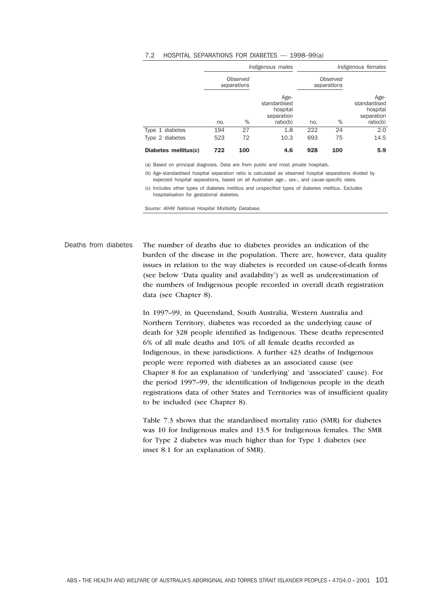#### 7.2 HOSPITAL SEPARATIONS FOR DIABETES — 1998–99(a)

|                      | Indigenous males        |     |                                                            | Indigenous females |                         |                                                            |
|----------------------|-------------------------|-----|------------------------------------------------------------|--------------------|-------------------------|------------------------------------------------------------|
|                      | Observed<br>separations |     |                                                            |                    | Observed<br>separations |                                                            |
|                      | no.                     | %   | Age-<br>standardised<br>hospital<br>separation<br>ratio(b) | no.                | %                       | Age-<br>standardised<br>hospital<br>separation<br>ratio(b) |
| Type 1 diabetes      | 194                     | 27  | 1.8                                                        | 222                | 24                      | 2.0                                                        |
| Type 2 diabetes      | 523                     | 72  | 10.3                                                       | 693                | 75                      | 14.5                                                       |
| Diabetes mellitus(c) | 722                     | 100 | 4.6                                                        | 928                | 100                     | 5.9                                                        |

(a) Based on principal diagnosis. Data are from public and most private hospitals.

(b) Age-standardised hospital separation ratio is calculated as observed hospital separations divided by expected hospital separations, based on all Australian age-, sex-, and cause-specific rates.

(c) Includes other types of diabetes mellitus and unspecified types of diabetes mellitus. Excludes hospitalisation for gestational diabetes.

*Source: AIHW National Hospital Morbidity Database.*

Deaths from diabetes The number of deaths due to diabetes provides an indication of the burden of the disease in the population. There are, however, data quality issues in relation to the way diabetes is recorded on cause-of-death forms (see below 'Data quality and availability') as well as underestimation of the numbers of Indigenous people recorded in overall death registration data (see Chapter 8).

> In 1997–99, in Queensland, South Australia, Western Australia and Northern Territory, diabetes was recorded as the underlying cause of death for 328 people identified as Indigenous. These deaths represented 6% of all male deaths and 10% of all female deaths recorded as Indigenous, in these jurisdictions. A further 423 deaths of Indigenous people were reported with diabetes as an associated cause (see Chapter 8 for an explanation of 'underlying' and 'associated' cause). For the period 1997–99, the identification of Indigenous people in the death registrations data of other States and Territories was of insufficient quality to be included (see Chapter 8).

Table 7.3 shows that the standardised mortality ratio (SMR) for diabetes was 10 for Indigenous males and 13.5 for Indigenous females. The SMR for Type 2 diabetes was much higher than for Type 1 diabetes (see inset 8.1 for an explanation of SMR).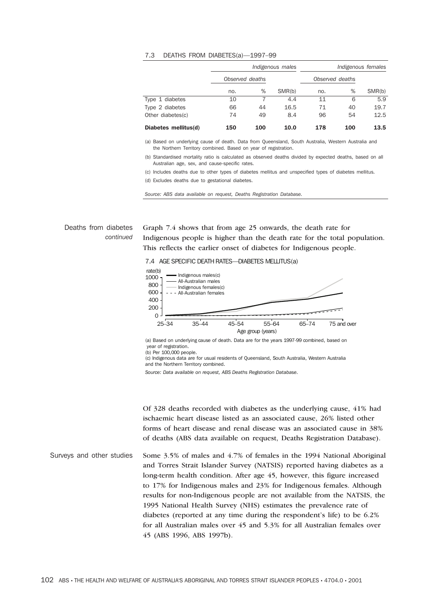#### 7.3 DEATHS FROM DIABETES(a)—1997–99

|                      | Indigenous males |     |        | Indigenous females |     |        |  |
|----------------------|------------------|-----|--------|--------------------|-----|--------|--|
|                      | Observed deaths  |     |        | Observed deaths    |     |        |  |
|                      | no.              | %   | SMR(b) | no.                | %   | SMR(b) |  |
| Type 1 diabetes      | 10               |     | 4.4    | 11                 | 6   | 5.9    |  |
| Type 2 diabetes      | 66               | 44  | 16.5   | 71                 | 40  | 19.7   |  |
| Other diabetes(c)    | 74               | 49  | 8.4    | 96                 | 54  | 12.5   |  |
| Diabetes mellitus(d) | 150              | 100 | 10.0   | 178                | 100 | 13.5   |  |

(a) Based on underlying cause of death. Data from Queensland, South Australia, Western Australia and the Northern Territory combined. Based on year of registration.

(b) Standardised mortality ratio is calculated as observed deaths divided by expected deaths, based on all Australian age, sex, and cause-specific rates.

(c) Includes deaths due to other types of diabetes mellitus and unspecified types of diabetes mellitus. (d) Excludes deaths due to gestational diabetes.

*Source: ABS data available on request, Deaths Registration Database.*

## Deaths from diabetes *continued*

Graph 7.4 shows that from age 25 onwards, the death rate for Indigenous people is higher than the death rate for the total population. This reflects the earlier onset of diabetes for Indigenous people.





(a) Based on underlying cause of death. Data are for the years 1997-99 combined, based on year of registration.

(b) Per 100,000 people.

(c) Indigenous data are for usual residents of Queensland, South Australia, Western Australia and the Northern Territory combined.

*Source: Data available on request, ABS Deaths Registration Database.*

Of 328 deaths recorded with diabetes as the underlying cause, 41% had ischaemic heart disease listed as an associated cause, 26% listed other forms of heart disease and renal disease was an associated cause in 38% of deaths (ABS data available on request, Deaths Registration Database).

Surveys and other studies Some 3.5% of males and 4.7% of females in the 1994 National Aboriginal and Torres Strait Islander Survey (NATSIS) reported having diabetes as a long-term health condition. After age 45, however, this figure increased to 17% for Indigenous males and 23% for Indigenous females. Although results for non-Indigenous people are not available from the NATSIS, the 1995 National Health Survey (NHS) estimates the prevalence rate of diabetes (reported at any time during the respondent's life) to be 6.2% for all Australian males over 45 and 5.3% for all Australian females over 45 (ABS 1996, ABS 1997b).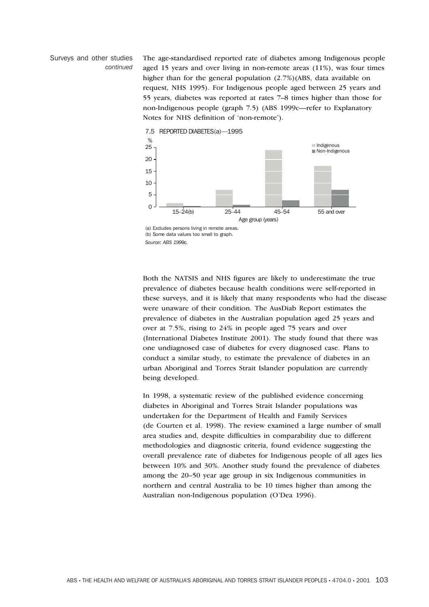### Surveys and other studies *continued*

The age-standardised reported rate of diabetes among Indigenous people aged 15 years and over living in non-remote areas (11%), was four times higher than for the general population (2.7%)(ABS, data available on request, NHS 1995). For Indigenous people aged between 25 years and 55 years, diabetes was reported at rates 7–8 times higher than those for non-Indigenous people (graph 7.5) (ABS 1999c—refer to Explanatory Notes for NHS definition of 'non-remote').



(a) Excludes persons living in remote areas. (b) Some data values too small to graph. *Source: ABS 1999c.*

Both the NATSIS and NHS figures are likely to underestimate the true prevalence of diabetes because health conditions were self-reported in these surveys, and it is likely that many respondents who had the disease were unaware of their condition. The AusDiab Report estimates the prevalence of diabetes in the Australian population aged 25 years and over at 7.5%, rising to 24% in people aged 75 years and over (International Diabetes Institute 2001). The study found that there was one undiagnosed case of diabetes for every diagnosed case. Plans to conduct a similar study, to estimate the prevalence of diabetes in an urban Aboriginal and Torres Strait Islander population are currently being developed.

In 1998, a systematic review of the published evidence concerning diabetes in Aboriginal and Torres Strait Islander populations was undertaken for the Department of Health and Family Services (de Courten et al. 1998). The review examined a large number of small area studies and, despite difficulties in comparability due to different methodologies and diagnostic criteria, found evidence suggesting the overall prevalence rate of diabetes for Indigenous people of all ages lies between 10% and 30%. Another study found the prevalence of diabetes among the 20–50 year age group in six Indigenous communities in northern and central Australia to be 10 times higher than among the Australian non-Indigenous population (O'Dea 1996).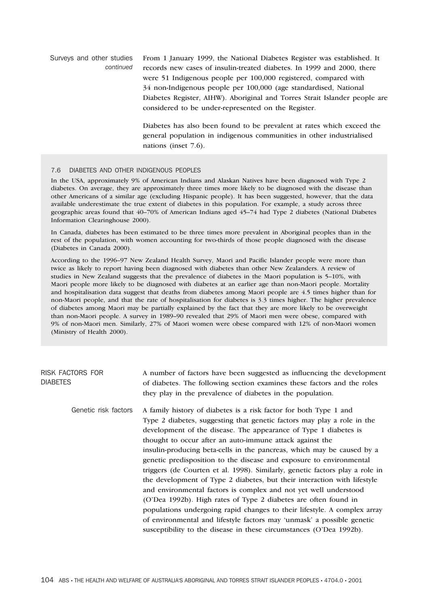Surveys and other studies *continued* From 1 January 1999, the National Diabetes Register was established. It records new cases of insulin-treated diabetes. In 1999 and 2000, there were 51 Indigenous people per 100,000 registered, compared with 34 non-Indigenous people per 100,000 (age standardised, National Diabetes Register, AIHW). Aboriginal and Torres Strait Islander people are considered to be under-represented on the Register. Diabetes has also been found to be prevalent at rates which exceed the general population in indigenous communities in other industrialised nations (inset 7.6).

### 7.6 DIABETES AND OTHER INDIGENOUS PEOPLES

In the USA, approximately 9% of American Indians and Alaskan Natives have been diagnosed with Type 2 diabetes. On average, they are approximately three times more likely to be diagnosed with the disease than other Americans of a similar age (excluding Hispanic people). It has been suggested, however, that the data available underestimate the true extent of diabetes in this population. For example, a study across three geographic areas found that 40–70% of American Indians aged 45–74 had Type 2 diabetes (National Diabetes Information Clearinghouse 2000).

In Canada, diabetes has been estimated to be three times more prevalent in Aboriginal peoples than in the rest of the population, with women accounting for two-thirds of those people diagnosed with the disease (Diabetes in Canada 2000).

According to the 1996–97 New Zealand Health Survey, Maori and Pacific Islander people were more than twice as likely to report having been diagnosed with diabetes than other New Zealanders. A review of studies in New Zealand suggests that the prevalence of diabetes in the Maori population is 5–10%, with Maori people more likely to be diagnosed with diabetes at an earlier age than non-Maori people. Mortality and hospitalisation data suggest that deaths from diabetes among Maori people are 4.5 times higher than for non-Maori people, and that the rate of hospitalisation for diabetes is 3.3 times higher. The higher prevalence of diabetes among Maori may be partially explained by the fact that they are more likely to be overweight than non-Maori people. A survey in 1989–90 revealed that 29% of Maori men were obese, compared with 9% of non-Maori men. Similarly, 27% of Maori women were obese compared with 12% of non-Maori women (Ministry of Health 2000).

| <b>RISK FACTORS FOR</b><br><b>DIABETES</b> | A number of factors have been suggested as influencing the development<br>of diabetes. The following section examines these factors and the roles<br>they play in the prevalence of diabetes in the population.                                                                                                                                                                                                                                                                                                                                                                                                                                                                                                                                                                                                                                                                                                                                               |
|--------------------------------------------|---------------------------------------------------------------------------------------------------------------------------------------------------------------------------------------------------------------------------------------------------------------------------------------------------------------------------------------------------------------------------------------------------------------------------------------------------------------------------------------------------------------------------------------------------------------------------------------------------------------------------------------------------------------------------------------------------------------------------------------------------------------------------------------------------------------------------------------------------------------------------------------------------------------------------------------------------------------|
| Genetic risk factors                       | A family history of diabetes is a risk factor for both Type 1 and<br>Type 2 diabetes, suggesting that genetic factors may play a role in the<br>development of the disease. The appearance of Type 1 diabetes is<br>thought to occur after an auto-immune attack against the<br>insulin-producing beta-cells in the pancreas, which may be caused by a<br>genetic predisposition to the disease and exposure to environmental<br>triggers (de Courten et al. 1998). Similarly, genetic factors play a role in<br>the development of Type 2 diabetes, but their interaction with lifestyle<br>and environmental factors is complex and not yet well understood<br>(O'Dea 1992b). High rates of Type 2 diabetes are often found in<br>populations undergoing rapid changes to their lifestyle. A complex array<br>of environmental and lifestyle factors may 'unmask' a possible genetic<br>susceptibility to the disease in these circumstances (O'Dea 1992b). |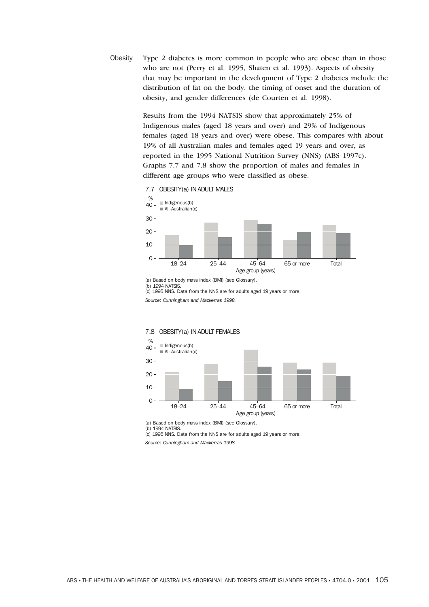Obesity Type 2 diabetes is more common in people who are obese than in those who are not (Perry et al. 1995, Shaten et al. 1993). Aspects of obesity that may be important in the development of Type 2 diabetes include the distribution of fat on the body, the timing of onset and the duration of obesity, and gender differences (de Courten et al. 1998).

> Results from the 1994 NATSIS show that approximately 25% of Indigenous males (aged 18 years and over) and 29% of Indigenous females (aged 18 years and over) were obese. This compares with about 19% of all Australian males and females aged 19 years and over, as reported in the 1995 National Nutrition Survey (NNS) (ABS 1997c). Graphs 7.7 and 7.8 show the proportion of males and females in different age groups who were classified as obese.



(b) 1994 NATSIS.

(c) 1995 NNS. Data from the NNS are for adults aged 19 years or more.

*Source: Cunningham and Mackerras 1998.*

### 7.8 OBESITY(a) IN ADULT FEMALES



(a) Based on body mass index (BMI) (see Glossary).

(b) 1994 NATSIS. (c) 1995 NNS. Data from the NNS are for adults aged 19 years or more.

*Source: Cunningham and Mackerras 1998.*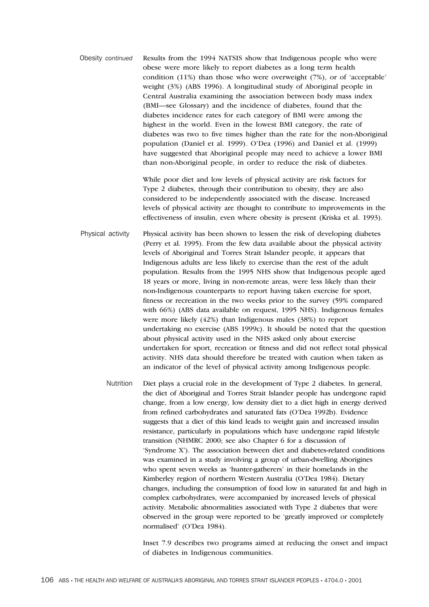Obesity *continued* Results from the 1994 NATSIS show that Indigenous people who were obese were more likely to report diabetes as a long term health condition (11%) than those who were overweight (7%), or of 'acceptable' weight (3%) (ABS 1996). A longitudinal study of Aboriginal people in Central Australia examining the association between body mass index (BMI—see Glossary) and the incidence of diabetes, found that the diabetes incidence rates for each category of BMI were among the highest in the world. Even in the lowest BMI category, the rate of diabetes was two to five times higher than the rate for the non-Aboriginal population (Daniel et al. 1999). O'Dea (1996) and Daniel et al. (1999) have suggested that Aboriginal people may need to achieve a lower BMI than non-Aboriginal people, in order to reduce the risk of diabetes.

> While poor diet and low levels of physical activity are risk factors for Type 2 diabetes, through their contribution to obesity, they are also considered to be independently associated with the disease. Increased levels of physical activity are thought to contribute to improvements in the effectiveness of insulin, even where obesity is present (Kriska et al. 1993).

- Physical activity Physical activity has been shown to lessen the risk of developing diabetes (Perry et al. 1995). From the few data available about the physical activity levels of Aboriginal and Torres Strait Islander people, it appears that Indigenous adults are less likely to exercise than the rest of the adult population. Results from the 1995 NHS show that Indigenous people aged 18 years or more, living in non-remote areas, were less likely than their non-Indigenous counterparts to report having taken exercise for sport, fitness or recreation in the two weeks prior to the survey (59% compared with 66%) (ABS data available on request, 1995 NHS). Indigenous females were more likely (42%) than Indigenous males (38%) to report undertaking no exercise (ABS 1999c). It should be noted that the question about physical activity used in the NHS asked only about exercise undertaken for sport, recreation or fitness and did not reflect total physical activity. NHS data should therefore be treated with caution when taken as an indicator of the level of physical activity among Indigenous people.
	- Nutrition Diet plays a crucial role in the development of Type 2 diabetes. In general, the diet of Aboriginal and Torres Strait Islander people has undergone rapid change, from a low energy, low density diet to a diet high in energy derived from refined carbohydrates and saturated fats (O'Dea 1992b). Evidence suggests that a diet of this kind leads to weight gain and increased insulin resistance, particularly in populations which have undergone rapid lifestyle transition (NHMRC 2000; see also Chapter 6 for a discussion of 'Syndrome X'). The association between diet and diabetes-related conditions was examined in a study involving a group of urban-dwelling Aborigines who spent seven weeks as 'hunter-gatherers' in their homelands in the Kimberley region of northern Western Australia (O'Dea 1984). Dietary changes, including the consumption of food low in saturated fat and high in complex carbohydrates, were accompanied by increased levels of physical activity. Metabolic abnormalities associated with Type 2 diabetes that were observed in the group were reported to be 'greatly improved or completely normalised' (O'Dea 1984).

Inset 7.9 describes two programs aimed at reducing the onset and impact of diabetes in Indigenous communities.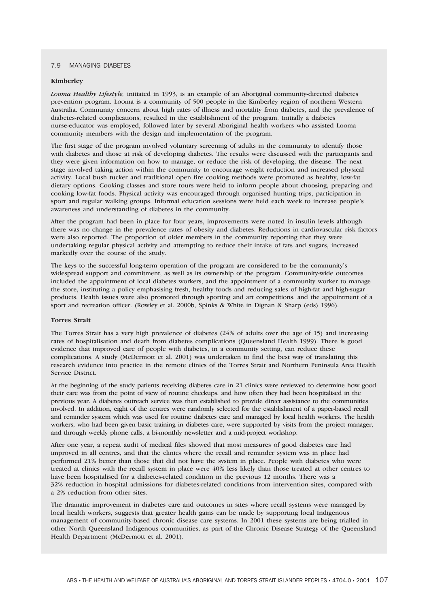#### 7.9 MANAGING DIABETES

#### **Kimberley**

*Looma Healthy Lifestyle,* initiated in 1993, is an example of an Aboriginal community-directed diabetes prevention program. Looma is a community of 500 people in the Kimberley region of northern Western Australia. Community concern about high rates of illness and mortality from diabetes, and the prevalence of diabetes-related complications, resulted in the establishment of the program. Initially a diabetes nurse-educator was employed, followed later by several Aboriginal health workers who assisted Looma community members with the design and implementation of the program.

The first stage of the program involved voluntary screening of adults in the community to identify those with diabetes and those at risk of developing diabetes. The results were discussed with the participants and they were given information on how to manage, or reduce the risk of developing, the disease. The next stage involved taking action within the community to encourage weight reduction and increased physical activity. Local bush tucker and traditional open fire cooking methods were promoted as healthy, low-fat dietary options. Cooking classes and store tours were held to inform people about choosing, preparing and cooking low-fat foods. Physical activity was encouraged through organised hunting trips, participation in sport and regular walking groups. Informal education sessions were held each week to increase people's awareness and understanding of diabetes in the community.

After the program had been in place for four years, improvements were noted in insulin levels although there was no change in the prevalence rates of obesity and diabetes. Reductions in cardiovascular risk factors were also reported. The proportion of older members in the community reporting that they were undertaking regular physical activity and attempting to reduce their intake of fats and sugars, increased markedly over the course of the study.

The keys to the successful long-term operation of the program are considered to be the community's widespread support and commitment, as well as its ownership of the program. Community-wide outcomes included the appointment of local diabetes workers, and the appointment of a community worker to manage the store, instituting a policy emphasising fresh, healthy foods and reducing sales of high-fat and high-sugar products. Health issues were also promoted through sporting and art competitions, and the appointment of a sport and recreation officer. (Rowley et al. 2000b, Spinks & White in Dignan & Sharp (eds) 1996).

### **Torres Strait**

The Torres Strait has a very high prevalence of diabetes (24% of adults over the age of 15) and increasing rates of hospitalisation and death from diabetes complications (Queensland Health 1999). There is good evidence that improved care of people with diabetes, in a community setting, can reduce these complications. A study (McDermott et al. 2001) was undertaken to find the best way of translating this research evidence into practice in the remote clinics of the Torres Strait and Northern Peninsula Area Health Service District.

At the beginning of the study patients receiving diabetes care in 21 clinics were reviewed to determine how good their care was from the point of view of routine checkups, and how often they had been hospitalised in the previous year. A diabetes outreach service was then established to provide direct assistance to the communities involved. In addition, eight of the centres were randomly selected for the establishment of a paper-based recall and reminder system which was used for routine diabetes care and managed by local health workers. The health workers, who had been given basic training in diabetes care, were supported by visits from the project manager, and through weekly phone calls, a bi-monthly newsletter and a mid-project workshop.

After one year, a repeat audit of medical files showed that most measures of good diabetes care had improved in all centres, and that the clinics where the recall and reminder system was in place had performed 21% better than those that did not have the system in place. People with diabetes who were treated at clinics with the recall system in place were 40% less likely than those treated at other centres to have been hospitalised for a diabetes-related condition in the previous 12 months. There was a 32% reduction in hospital admissions for diabetes-related conditions from intervention sites, compared with a 2% reduction from other sites.

The dramatic improvement in diabetes care and outcomes in sites where recall systems were managed by local health workers, suggests that greater health gains can be made by supporting local Indigenous management of community-based chronic disease care systems. In 2001 these systems are being trialled in other North Queensland Indigenous communities, as part of the Chronic Disease Strategy of the Queensland Health Department (McDermott et al. 2001).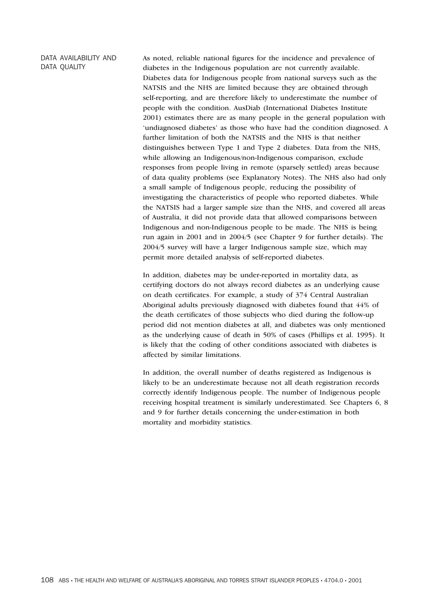# DATA AVAILABILITY AND DATA QUALITY

As noted, reliable national figures for the incidence and prevalence of diabetes in the Indigenous population are not currently available. Diabetes data for Indigenous people from national surveys such as the NATSIS and the NHS are limited because they are obtained through self-reporting, and are therefore likely to underestimate the number of people with the condition. AusDiab (International Diabetes Institute 2001) estimates there are as many people in the general population with 'undiagnosed diabetes' as those who have had the condition diagnosed. A further limitation of both the NATSIS and the NHS is that neither distinguishes between Type 1 and Type 2 diabetes. Data from the NHS, while allowing an Indigenous/non-Indigenous comparison, exclude responses from people living in remote (sparsely settled) areas because of data quality problems (see Explanatory Notes). The NHS also had only a small sample of Indigenous people, reducing the possibility of investigating the characteristics of people who reported diabetes. While the NATSIS had a larger sample size than the NHS, and covered all areas of Australia, it did not provide data that allowed comparisons between Indigenous and non-Indigenous people to be made. The NHS is being run again in 2001 and in 2004/5 (see Chapter 9 for further details). The 2004/5 survey will have a larger Indigenous sample size, which may permit more detailed analysis of self-reported diabetes.

In addition, diabetes may be under-reported in mortality data, as certifying doctors do not always record diabetes as an underlying cause on death certificates. For example, a study of 374 Central Australian Aboriginal adults previously diagnosed with diabetes found that 44% of the death certificates of those subjects who died during the follow-up period did not mention diabetes at all, and diabetes was only mentioned as the underlying cause of death in 50% of cases (Phillips et al. 1995). It is likely that the coding of other conditions associated with diabetes is affected by similar limitations.

In addition, the overall number of deaths registered as Indigenous is likely to be an underestimate because not all death registration records correctly identify Indigenous people. The number of Indigenous people receiving hospital treatment is similarly underestimated. See Chapters 6, 8 and 9 for further details concerning the under-estimation in both mortality and morbidity statistics.